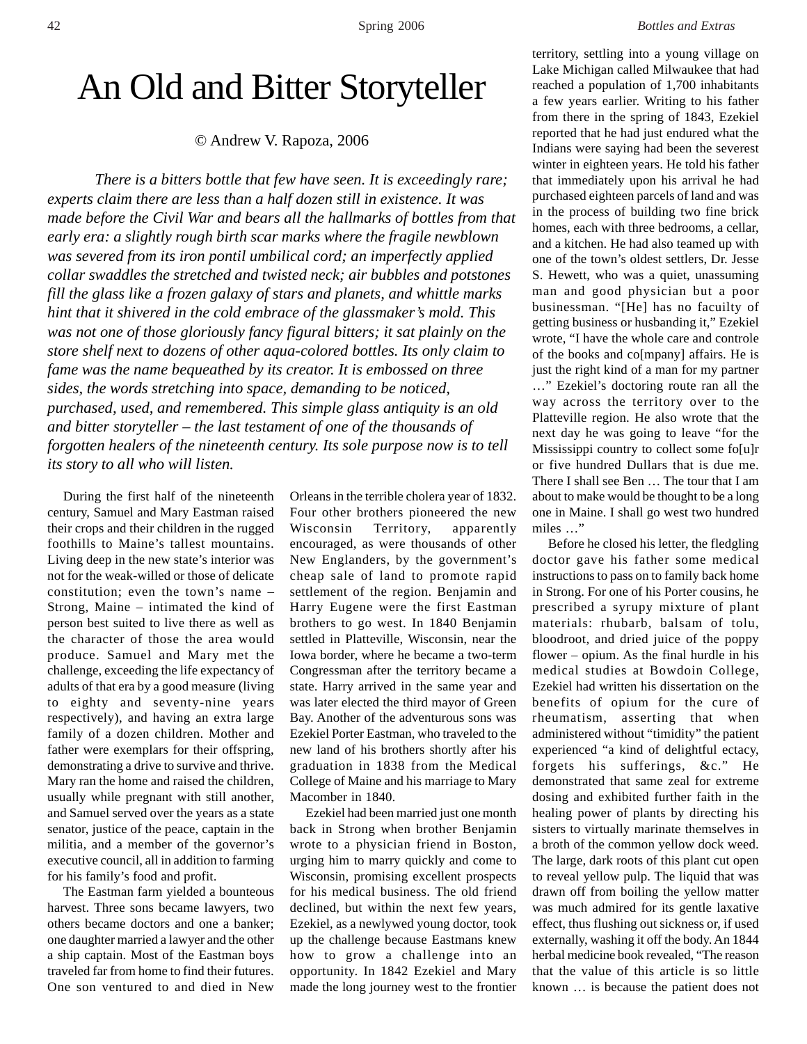## An Old and Bitter Storyteller

© Andrew V. Rapoza, 2006

*There is a bitters bottle that few have seen. It is exceedingly rare; experts claim there are less than a half dozen still in existence. It was made before the Civil War and bears all the hallmarks of bottles from that early era: a slightly rough birth scar marks where the fragile newblown was severed from its iron pontil umbilical cord; an imperfectly applied collar swaddles the stretched and twisted neck; air bubbles and potstones fill the glass like a frozen galaxy of stars and planets, and whittle marks hint that it shivered in the cold embrace of the glassmaker's mold. This was not one of those gloriously fancy figural bitters; it sat plainly on the store shelf next to dozens of other aqua-colored bottles. Its only claim to fame was the name bequeathed by its creator. It is embossed on three sides, the words stretching into space, demanding to be noticed, purchased, used, and remembered. This simple glass antiquity is an old and bitter storyteller – the last testament of one of the thousands of forgotten healers of the nineteenth century. Its sole purpose now is to tell its story to all who will listen.*

During the first half of the nineteenth century, Samuel and Mary Eastman raised their crops and their children in the rugged foothills to Maine's tallest mountains. Living deep in the new state's interior was not for the weak-willed or those of delicate constitution; even the town's name – Strong, Maine – intimated the kind of person best suited to live there as well as the character of those the area would produce. Samuel and Mary met the challenge, exceeding the life expectancy of adults of that era by a good measure (living to eighty and seventy-nine years respectively), and having an extra large family of a dozen children. Mother and father were exemplars for their offspring, demonstrating a drive to survive and thrive. Mary ran the home and raised the children, usually while pregnant with still another, and Samuel served over the years as a state senator, justice of the peace, captain in the militia, and a member of the governor's executive council, all in addition to farming for his family's food and profit.

The Eastman farm yielded a bounteous harvest. Three sons became lawyers, two others became doctors and one a banker; one daughter married a lawyer and the other a ship captain. Most of the Eastman boys traveled far from home to find their futures. One son ventured to and died in New

Orleans in the terrible cholera year of 1832. Four other brothers pioneered the new Wisconsin Territory, apparently encouraged, as were thousands of other New Englanders, by the government's cheap sale of land to promote rapid settlement of the region. Benjamin and Harry Eugene were the first Eastman brothers to go west. In 1840 Benjamin settled in Platteville, Wisconsin, near the Iowa border, where he became a two-term Congressman after the territory became a state. Harry arrived in the same year and was later elected the third mayor of Green Bay. Another of the adventurous sons was Ezekiel Porter Eastman, who traveled to the new land of his brothers shortly after his graduation in 1838 from the Medical College of Maine and his marriage to Mary Macomber in 1840.

Ezekiel had been married just one month back in Strong when brother Benjamin wrote to a physician friend in Boston, urging him to marry quickly and come to Wisconsin, promising excellent prospects for his medical business. The old friend declined, but within the next few years, Ezekiel, as a newlywed young doctor, took up the challenge because Eastmans knew how to grow a challenge into an opportunity. In 1842 Ezekiel and Mary made the long journey west to the frontier territory, settling into a young village on Lake Michigan called Milwaukee that had reached a population of 1,700 inhabitants a few years earlier. Writing to his father from there in the spring of 1843, Ezekiel reported that he had just endured what the Indians were saying had been the severest winter in eighteen years. He told his father that immediately upon his arrival he had purchased eighteen parcels of land and was in the process of building two fine brick homes, each with three bedrooms, a cellar, and a kitchen. He had also teamed up with one of the town's oldest settlers, Dr. Jesse S. Hewett, who was a quiet, unassuming man and good physician but a poor businessman. "[He] has no facuilty of getting business or husbanding it," Ezekiel wrote, "I have the whole care and controle of the books and co[mpany] affairs. He is just the right kind of a man for my partner …" Ezekiel's doctoring route ran all the way across the territory over to the Platteville region. He also wrote that the next day he was going to leave "for the Mississippi country to collect some fo[u]r or five hundred Dullars that is due me. There I shall see Ben … The tour that I am about to make would be thought to be a long one in Maine. I shall go west two hundred miles …"

Before he closed his letter, the fledgling doctor gave his father some medical instructions to pass on to family back home in Strong. For one of his Porter cousins, he prescribed a syrupy mixture of plant materials: rhubarb, balsam of tolu, bloodroot, and dried juice of the poppy flower – opium. As the final hurdle in his medical studies at Bowdoin College, Ezekiel had written his dissertation on the benefits of opium for the cure of rheumatism, asserting that when administered without "timidity" the patient experienced "a kind of delightful ectacy, forgets his sufferings, &c." He demonstrated that same zeal for extreme dosing and exhibited further faith in the healing power of plants by directing his sisters to virtually marinate themselves in a broth of the common yellow dock weed. The large, dark roots of this plant cut open to reveal yellow pulp. The liquid that was drawn off from boiling the yellow matter was much admired for its gentle laxative effect, thus flushing out sickness or, if used externally, washing it off the body. An 1844 herbal medicine book revealed, "The reason that the value of this article is so little known … is because the patient does not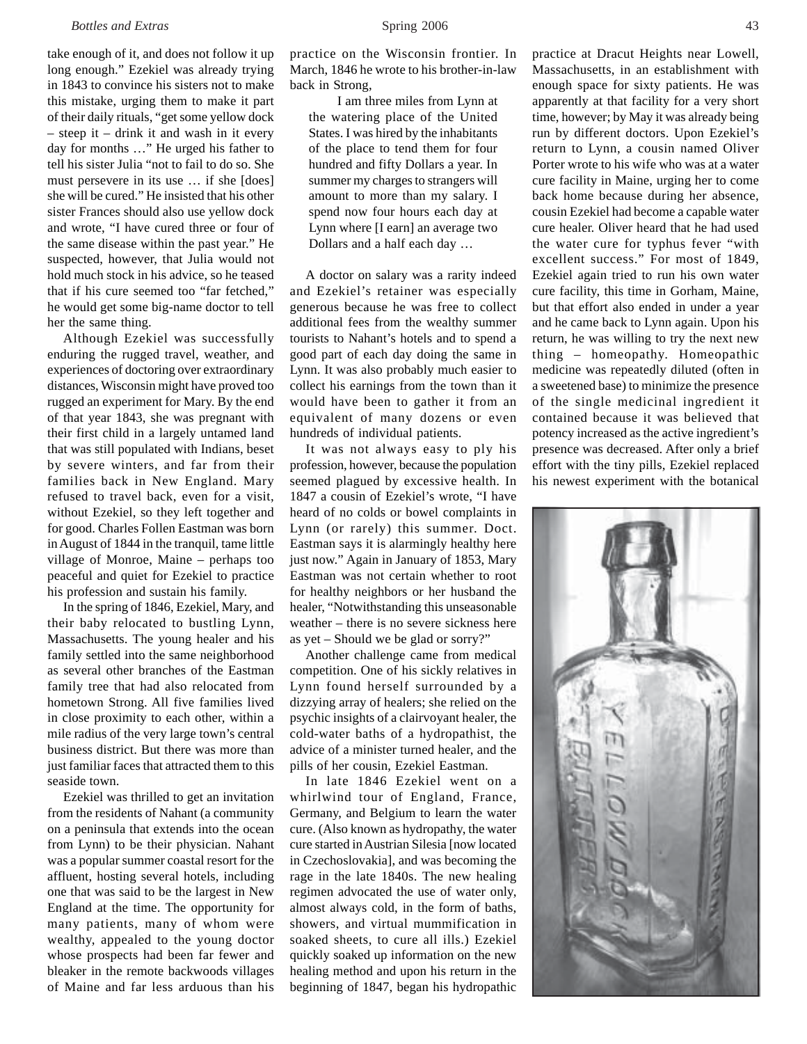take enough of it, and does not follow it up long enough." Ezekiel was already trying in 1843 to convince his sisters not to make this mistake, urging them to make it part of their daily rituals, "get some yellow dock – steep it – drink it and wash in it every day for months …" He urged his father to tell his sister Julia "not to fail to do so. She must persevere in its use … if she [does] she will be cured." He insisted that his other sister Frances should also use yellow dock and wrote, "I have cured three or four of the same disease within the past year." He suspected, however, that Julia would not hold much stock in his advice, so he teased that if his cure seemed too "far fetched," he would get some big-name doctor to tell her the same thing.

Although Ezekiel was successfully enduring the rugged travel, weather, and experiences of doctoring over extraordinary distances, Wisconsin might have proved too rugged an experiment for Mary. By the end of that year 1843, she was pregnant with their first child in a largely untamed land that was still populated with Indians, beset by severe winters, and far from their families back in New England. Mary refused to travel back, even for a visit, without Ezekiel, so they left together and for good. Charles Follen Eastman was born in August of 1844 in the tranquil, tame little village of Monroe, Maine – perhaps too peaceful and quiet for Ezekiel to practice his profession and sustain his family.

In the spring of 1846, Ezekiel, Mary, and their baby relocated to bustling Lynn, Massachusetts. The young healer and his family settled into the same neighborhood as several other branches of the Eastman family tree that had also relocated from hometown Strong. All five families lived in close proximity to each other, within a mile radius of the very large town's central business district. But there was more than just familiar faces that attracted them to this seaside town.

Ezekiel was thrilled to get an invitation from the residents of Nahant (a community on a peninsula that extends into the ocean from Lynn) to be their physician. Nahant was a popular summer coastal resort for the affluent, hosting several hotels, including one that was said to be the largest in New England at the time. The opportunity for many patients, many of whom were wealthy, appealed to the young doctor whose prospects had been far fewer and bleaker in the remote backwoods villages of Maine and far less arduous than his

practice on the Wisconsin frontier. In March, 1846 he wrote to his brother-in-law back in Strong,

I am three miles from Lynn at the watering place of the United States. I was hired by the inhabitants of the place to tend them for four hundred and fifty Dollars a year. In summer my charges to strangers will amount to more than my salary. I spend now four hours each day at Lynn where [I earn] an average two Dollars and a half each day …

A doctor on salary was a rarity indeed and Ezekiel's retainer was especially generous because he was free to collect additional fees from the wealthy summer tourists to Nahant's hotels and to spend a good part of each day doing the same in Lynn. It was also probably much easier to collect his earnings from the town than it would have been to gather it from an equivalent of many dozens or even hundreds of individual patients.

It was not always easy to ply his profession, however, because the population seemed plagued by excessive health. In 1847 a cousin of Ezekiel's wrote, "I have heard of no colds or bowel complaints in Lynn (or rarely) this summer. Doct. Eastman says it is alarmingly healthy here just now." Again in January of 1853, Mary Eastman was not certain whether to root for healthy neighbors or her husband the healer, "Notwithstanding this unseasonable weather – there is no severe sickness here as yet – Should we be glad or sorry?"

Another challenge came from medical competition. One of his sickly relatives in Lynn found herself surrounded by a dizzying array of healers; she relied on the psychic insights of a clairvoyant healer, the cold-water baths of a hydropathist, the advice of a minister turned healer, and the pills of her cousin, Ezekiel Eastman.

In late 1846 Ezekiel went on a whirlwind tour of England, France, Germany, and Belgium to learn the water cure. (Also known as hydropathy, the water cure started in Austrian Silesia [now located in Czechoslovakia], and was becoming the rage in the late 1840s. The new healing regimen advocated the use of water only, almost always cold, in the form of baths, showers, and virtual mummification in soaked sheets, to cure all ills.) Ezekiel quickly soaked up information on the new healing method and upon his return in the beginning of 1847, began his hydropathic practice at Dracut Heights near Lowell, Massachusetts, in an establishment with enough space for sixty patients. He was apparently at that facility for a very short time, however; by May it was already being run by different doctors. Upon Ezekiel's return to Lynn, a cousin named Oliver Porter wrote to his wife who was at a water cure facility in Maine, urging her to come back home because during her absence, cousin Ezekiel had become a capable water cure healer. Oliver heard that he had used the water cure for typhus fever "with excellent success." For most of 1849, Ezekiel again tried to run his own water cure facility, this time in Gorham, Maine, but that effort also ended in under a year and he came back to Lynn again. Upon his return, he was willing to try the next new thing – homeopathy. Homeopathic medicine was repeatedly diluted (often in a sweetened base) to minimize the presence of the single medicinal ingredient it contained because it was believed that potency increased as the active ingredient's presence was decreased. After only a brief effort with the tiny pills, Ezekiel replaced his newest experiment with the botanical

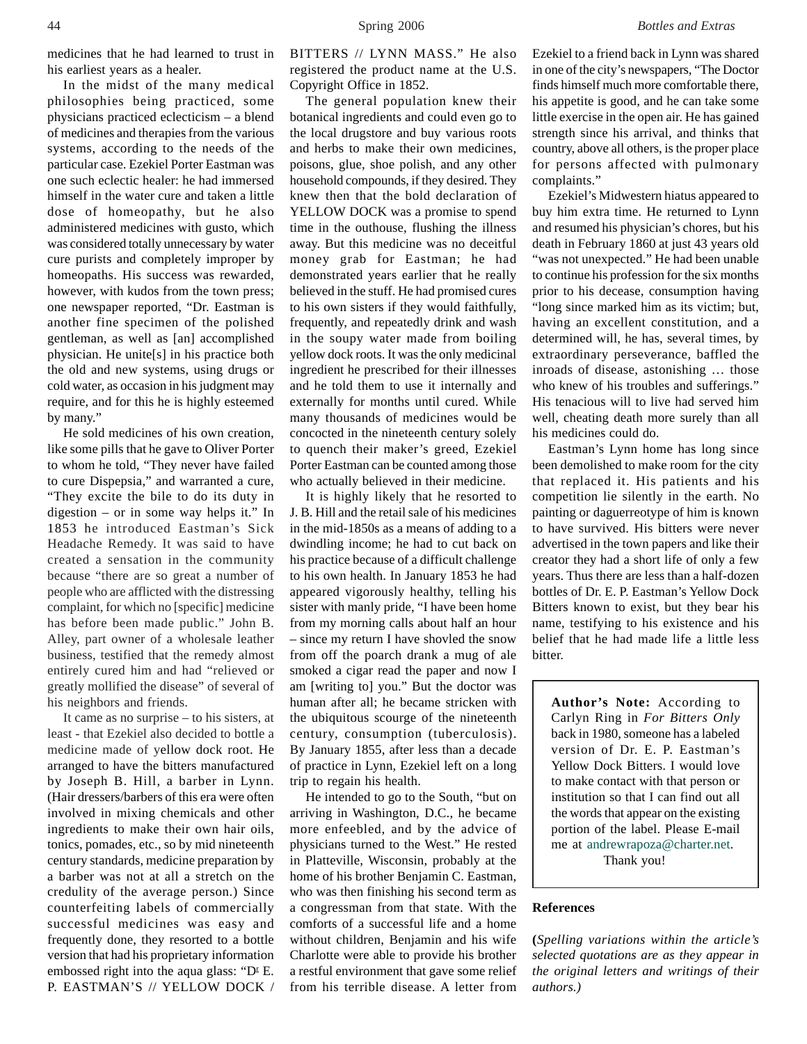medicines that he had learned to trust in his earliest years as a healer.

In the midst of the many medical philosophies being practiced, some physicians practiced eclecticism – a blend of medicines and therapies from the various systems, according to the needs of the particular case. Ezekiel Porter Eastman was one such eclectic healer: he had immersed himself in the water cure and taken a little dose of homeopathy, but he also administered medicines with gusto, which was considered totally unnecessary by water cure purists and completely improper by homeopaths. His success was rewarded, however, with kudos from the town press; one newspaper reported, "Dr. Eastman is another fine specimen of the polished gentleman, as well as [an] accomplished physician. He unite[s] in his practice both the old and new systems, using drugs or cold water, as occasion in his judgment may require, and for this he is highly esteemed by many."

He sold medicines of his own creation, like some pills that he gave to Oliver Porter to whom he told, "They never have failed to cure Dispepsia," and warranted a cure, "They excite the bile to do its duty in digestion – or in some way helps it." In 1853 he introduced Eastman's Sick Headache Remedy. It was said to have created a sensation in the community because "there are so great a number of people who are afflicted with the distressing complaint, for which no [specific] medicine has before been made public." John B. Alley, part owner of a wholesale leather business, testified that the remedy almost entirely cured him and had "relieved or greatly mollified the disease" of several of his neighbors and friends.

It came as no surprise – to his sisters, at least - that Ezekiel also decided to bottle a medicine made of yellow dock root. He arranged to have the bitters manufactured by Joseph B. Hill, a barber in Lynn. (Hair dressers/barbers of this era were often involved in mixing chemicals and other ingredients to make their own hair oils, tonics, pomades, etc., so by mid nineteenth century standards, medicine preparation by a barber was not at all a stretch on the credulity of the average person.) Since counterfeiting labels of commercially successful medicines was easy and frequently done, they resorted to a bottle version that had his proprietary information embossed right into the aqua glass: " $D<sup>r</sup>$  E. P. EASTMAN'S // YELLOW DOCK /

BITTERS // LYNN MASS." He also registered the product name at the U.S. Copyright Office in 1852.

The general population knew their botanical ingredients and could even go to the local drugstore and buy various roots and herbs to make their own medicines, poisons, glue, shoe polish, and any other household compounds, if they desired. They knew then that the bold declaration of YELLOW DOCK was a promise to spend time in the outhouse, flushing the illness away. But this medicine was no deceitful money grab for Eastman; he had demonstrated years earlier that he really believed in the stuff. He had promised cures to his own sisters if they would faithfully, frequently, and repeatedly drink and wash in the soupy water made from boiling yellow dock roots. It was the only medicinal ingredient he prescribed for their illnesses and he told them to use it internally and externally for months until cured. While many thousands of medicines would be concocted in the nineteenth century solely to quench their maker's greed, Ezekiel Porter Eastman can be counted among those who actually believed in their medicine.

It is highly likely that he resorted to J. B. Hill and the retail sale of his medicines in the mid-1850s as a means of adding to a dwindling income; he had to cut back on his practice because of a difficult challenge to his own health. In January 1853 he had appeared vigorously healthy, telling his sister with manly pride, "I have been home from my morning calls about half an hour – since my return I have shovled the snow from off the poarch drank a mug of ale smoked a cigar read the paper and now I am [writing to] you." But the doctor was human after all; he became stricken with the ubiquitous scourge of the nineteenth century, consumption (tuberculosis). By January 1855, after less than a decade of practice in Lynn, Ezekiel left on a long trip to regain his health.

He intended to go to the South, "but on arriving in Washington, D.C., he became more enfeebled, and by the advice of physicians turned to the West." He rested in Platteville, Wisconsin, probably at the home of his brother Benjamin C. Eastman, who was then finishing his second term as a congressman from that state. With the comforts of a successful life and a home without children, Benjamin and his wife Charlotte were able to provide his brother a restful environment that gave some relief from his terrible disease. A letter from Ezekiel to a friend back in Lynn was shared in one of the city's newspapers, "The Doctor finds himself much more comfortable there, his appetite is good, and he can take some little exercise in the open air. He has gained strength since his arrival, and thinks that country, above all others, is the proper place for persons affected with pulmonary complaints."

Ezekiel's Midwestern hiatus appeared to buy him extra time. He returned to Lynn and resumed his physician's chores, but his death in February 1860 at just 43 years old "was not unexpected." He had been unable to continue his profession for the six months prior to his decease, consumption having "long since marked him as its victim; but, having an excellent constitution, and a determined will, he has, several times, by extraordinary perseverance, baffled the inroads of disease, astonishing … those who knew of his troubles and sufferings." His tenacious will to live had served him well, cheating death more surely than all his medicines could do.

Eastman's Lynn home has long since been demolished to make room for the city that replaced it. His patients and his competition lie silently in the earth. No painting or daguerreotype of him is known to have survived. His bitters were never advertised in the town papers and like their creator they had a short life of only a few years. Thus there are less than a half-dozen bottles of Dr. E. P. Eastman's Yellow Dock Bitters known to exist, but they bear his name, testifying to his existence and his belief that he had made life a little less bitter.

**Author's Note:** According to Carlyn Ring in *For Bitters Only* back in 1980, someone has a labeled version of Dr. E. P. Eastman's Yellow Dock Bitters. I would love to make contact with that person or institution so that I can find out all the words that appear on the existing portion of the label. Please E-mail me at andrewrapoza@charter.net. Thank you!

## **References**

**(***Spelling variations within the article's selected quotations are as they appear in the original letters and writings of their authors.)*